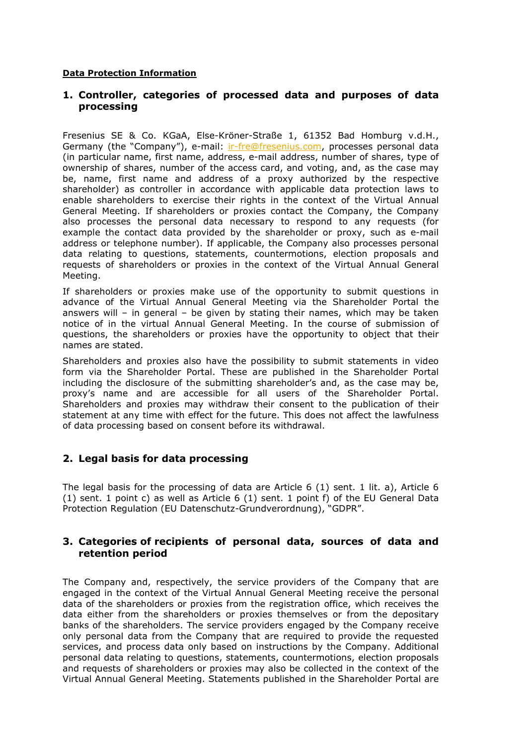#### **Data Protection Information**

## **1. Controller, categories of processed data and purposes of data processing**

Fresenius SE & Co. KGaA, Else-Kröner-Straße 1, 61352 Bad Homburg v.d.H., Germany (the "Company"), e-mail: [ir-fre@fresenius.com,](mailto:ir-fre@fresenius.com) processes personal data (in particular name, first name, address, e-mail address, number of shares, type of ownership of shares, number of the access card, and voting, and, as the case may be, name, first name and address of a proxy authorized by the respective shareholder) as controller in accordance with applicable data protection laws to enable shareholders to exercise their rights in the context of the Virtual Annual General Meeting. If shareholders or proxies contact the Company, the Company also processes the personal data necessary to respond to any requests (for example the contact data provided by the shareholder or proxy, such as e-mail address or telephone number). If applicable, the Company also processes personal data relating to questions, statements, countermotions, election proposals and requests of shareholders or proxies in the context of the Virtual Annual General Meeting.

If shareholders or proxies make use of the opportunity to submit questions in advance of the Virtual Annual General Meeting via the Shareholder Portal the answers will – in general – be given by stating their names, which may be taken notice of in the virtual Annual General Meeting. In the course of submission of questions, the shareholders or proxies have the opportunity to object that their names are stated.

Shareholders and proxies also have the possibility to submit statements in video form via the Shareholder Portal. These are published in the Shareholder Portal including the disclosure of the submitting shareholder's and, as the case may be, proxy's name and are accessible for all users of the Shareholder Portal. Shareholders and proxies may withdraw their consent to the publication of their statement at any time with effect for the future. This does not affect the lawfulness of data processing based on consent before its withdrawal.

# **2. Legal basis for data processing**

The legal basis for the processing of data are Article 6  $(1)$  sent. 1 lit. a), Article 6 (1) sent. 1 point c) as well as Article 6 (1) sent. 1 point f) of the EU General Data Protection Regulation (EU Datenschutz-Grundverordnung), "GDPR".

### **3. Categories of recipients of personal data, sources of data and retention period**

The Company and, respectively, the service providers of the Company that are engaged in the context of the Virtual Annual General Meeting receive the personal data of the shareholders or proxies from the registration office, which receives the data either from the shareholders or proxies themselves or from the depositary banks of the shareholders. The service providers engaged by the Company receive only personal data from the Company that are required to provide the requested services, and process data only based on instructions by the Company. Additional personal data relating to questions, statements, countermotions, election proposals and requests of shareholders or proxies may also be collected in the context of the Virtual Annual General Meeting. Statements published in the Shareholder Portal are